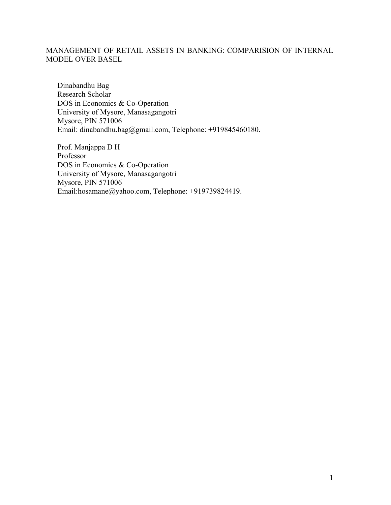# MANAGEMENT OF RETAIL ASSETS IN BANKING: COMPARISION OF INTERNAL MODEL OVER BASEL

Dinabandhu Bag Research Scholar DOS in Economics & Co-Operation University of Mysore, Manasagangotri Mysore, PIN 571006 Email: dinabandhu.bag@gmail.com, Telephone: +919845460180.

Prof. Manjappa D H Professor DOS in Economics & Co-Operation University of Mysore, Manasagangotri Mysore, PIN 571006 Email:hosamane@yahoo.com, Telephone: +919739824419.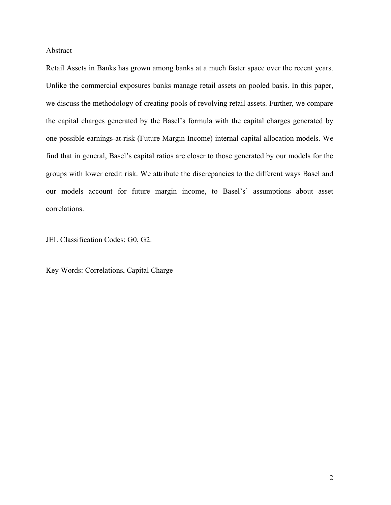### Abstract

Retail Assets in Banks has grown among banks at a much faster space over the recent years. Unlike the commercial exposures banks manage retail assets on pooled basis. In this paper, we discuss the methodology of creating pools of revolving retail assets. Further, we compare the capital charges generated by the Basel's formula with the capital charges generated by one possible earnings-at-risk (Future Margin Income) internal capital allocation models. We find that in general, Basel's capital ratios are closer to those generated by our models for the groups with lower credit risk. We attribute the discrepancies to the different ways Basel and our models account for future margin income, to Basel's' assumptions about asset correlations.

JEL Classification Codes: G0, G2.

Key Words: Correlations, Capital Charge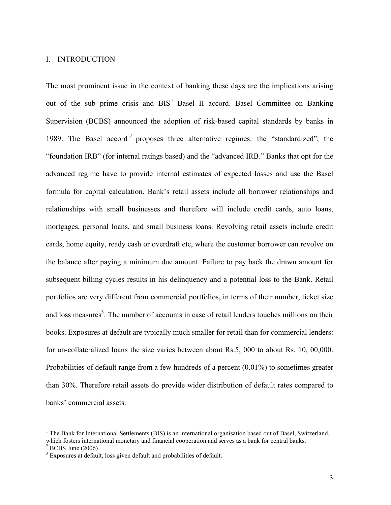### I. INTRODUCTION

The most prominent issue in the context of banking these days are the implications arising out of the sub prime crisis and  $BIS<sup>1</sup>$  Basel II accord. Basel Committee on Banking Supervision (BCBS) announced the adoption of risk-based capital standards by banks in 1989. The Basel accord<sup>2</sup> proposes three alternative regimes: the "standardized", the "foundation IRB" (for internal ratings based) and the "advanced IRB." Banks that opt for the advanced regime have to provide internal estimates of expected losses and use the Basel formula for capital calculation. Bank's retail assets include all borrower relationships and relationships with small businesses and therefore will include credit cards, auto loans, mortgages, personal loans, and small business loans. Revolving retail assets include credit cards, home equity, ready cash or overdraft etc, where the customer borrower can revolve on the balance after paying a minimum due amount. Failure to pay back the drawn amount for subsequent billing cycles results in his delinquency and a potential loss to the Bank. Retail portfolios are very different from commercial portfolios, in terms of their number, ticket size and loss measures<sup>3</sup>. The number of accounts in case of retail lenders touches millions on their books. Exposures at default are typically much smaller for retail than for commercial lenders: for un-collateralized loans the size varies between about Rs.5, 000 to about Rs. 10, 00,000. Probabilities of default range from a few hundreds of a percent (0.01%) to sometimes greater than 30%. Therefore retail assets do provide wider distribution of default rates compared to banks' commercial assets.

<u>.</u>

<sup>&</sup>lt;sup>1</sup> The Bank for International Settlements (BIS) is an international organisation based out of Basel, Switzerland, which fosters international monetary and financial cooperation and serves as a bank for central banks.

 $2^2$  BCBS June (2006)

<sup>&</sup>lt;sup>3</sup> Exposures at default, loss given default and probabilities of default.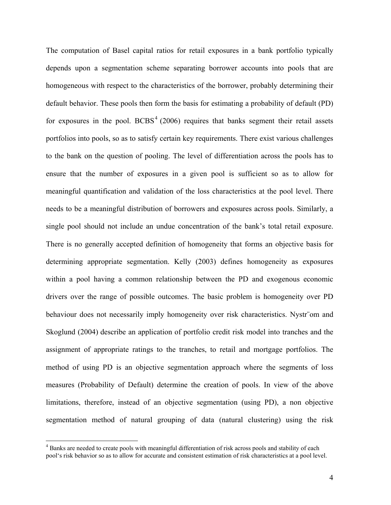The computation of Basel capital ratios for retail exposures in a bank portfolio typically depends upon a segmentation scheme separating borrower accounts into pools that are homogeneous with respect to the characteristics of the borrower, probably determining their default behavior. These pools then form the basis for estimating a probability of default (PD) for exposures in the pool.  $BCBS<sup>4</sup>$  (2006) requires that banks segment their retail assets portfolios into pools, so as to satisfy certain key requirements. There exist various challenges to the bank on the question of pooling. The level of differentiation across the pools has to ensure that the number of exposures in a given pool is sufficient so as to allow for meaningful quantification and validation of the loss characteristics at the pool level. There needs to be a meaningful distribution of borrowers and exposures across pools. Similarly, a single pool should not include an undue concentration of the bank's total retail exposure. There is no generally accepted definition of homogeneity that forms an objective basis for determining appropriate segmentation. Kelly (2003) defines homogeneity as exposures within a pool having a common relationship between the PD and exogenous economic drivers over the range of possible outcomes. The basic problem is homogeneity over PD behaviour does not necessarily imply homogeneity over risk characteristics. Nystr¨om and Skoglund (2004) describe an application of portfolio credit risk model into tranches and the assignment of appropriate ratings to the tranches, to retail and mortgage portfolios. The method of using PD is an objective segmentation approach where the segments of loss measures (Probability of Default) determine the creation of pools. In view of the above limitations, therefore, instead of an objective segmentation (using PD), a non objective segmentation method of natural grouping of data (natural clustering) using the risk

 $\overline{a}$ 

<sup>&</sup>lt;sup>4</sup> Banks are needed to create pools with meaningful differentiation of risk across pools and stability of each pool's risk behavior so as to allow for accurate and consistent estimation of risk characteristics at a pool level.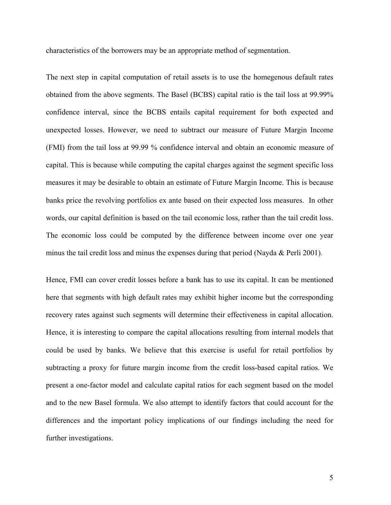characteristics of the borrowers may be an appropriate method of segmentation.

The next step in capital computation of retail assets is to use the homegenous default rates obtained from the above segments. The Basel (BCBS) capital ratio is the tail loss at 99.99% confidence interval, since the BCBS entails capital requirement for both expected and unexpected losses. However, we need to subtract our measure of Future Margin Income (FMI) from the tail loss at 99.99 % confidence interval and obtain an economic measure of capital. This is because while computing the capital charges against the segment specific loss measures it may be desirable to obtain an estimate of Future Margin Income. This is because banks price the revolving portfolios ex ante based on their expected loss measures. In other words, our capital definition is based on the tail economic loss, rather than the tail credit loss. The economic loss could be computed by the difference between income over one year minus the tail credit loss and minus the expenses during that period (Nayda & Perli 2001).

Hence, FMI can cover credit losses before a bank has to use its capital. It can be mentioned here that segments with high default rates may exhibit higher income but the corresponding recovery rates against such segments will determine their effectiveness in capital allocation. Hence, it is interesting to compare the capital allocations resulting from internal models that could be used by banks. We believe that this exercise is useful for retail portfolios by subtracting a proxy for future margin income from the credit loss-based capital ratios. We present a one-factor model and calculate capital ratios for each segment based on the model and to the new Basel formula. We also attempt to identify factors that could account for the differences and the important policy implications of our findings including the need for further investigations.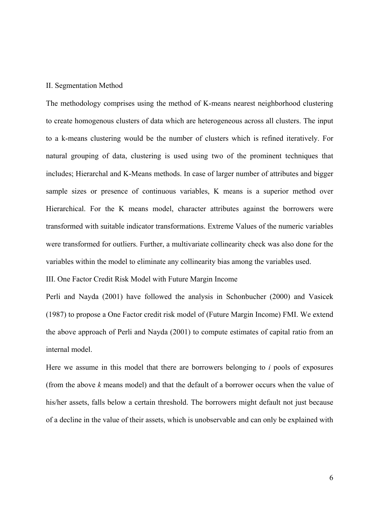### II. Segmentation Method

The methodology comprises using the method of K-means nearest neighborhood clustering to create homogenous clusters of data which are heterogeneous across all clusters. The input to a k-means clustering would be the number of clusters which is refined iteratively. For natural grouping of data, clustering is used using two of the prominent techniques that includes; Hierarchal and K-Means methods. In case of larger number of attributes and bigger sample sizes or presence of continuous variables, K means is a superior method over Hierarchical. For the K means model, character attributes against the borrowers were transformed with suitable indicator transformations. Extreme Values of the numeric variables were transformed for outliers. Further, a multivariate collinearity check was also done for the variables within the model to eliminate any collinearity bias among the variables used.

III. One Factor Credit Risk Model with Future Margin Income

Perli and Nayda (2001) have followed the analysis in Schonbucher (2000) and Vasicek (1987) to propose a One Factor credit risk model of (Future Margin Income) FMI. We extend the above approach of Perli and Nayda (2001) to compute estimates of capital ratio from an internal model.

Here we assume in this model that there are borrowers belonging to *i* pools of exposures (from the above *k* means model) and that the default of a borrower occurs when the value of his/her assets, falls below a certain threshold. The borrowers might default not just because of a decline in the value of their assets, which is unobservable and can only be explained with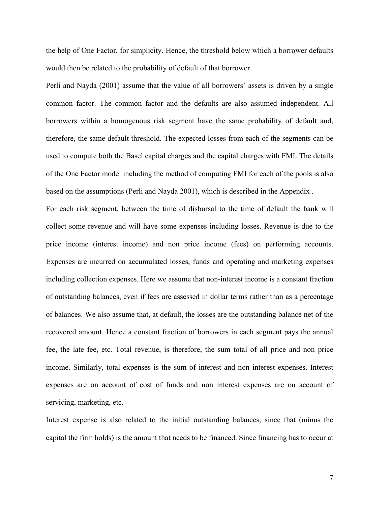the help of One Factor, for simplicity. Hence, the threshold below which a borrower defaults would then be related to the probability of default of that borrower.

Perli and Nayda (2001) assume that the value of all borrowers' assets is driven by a single common factor. The common factor and the defaults are also assumed independent. All borrowers within a homogenous risk segment have the same probability of default and, therefore, the same default threshold. The expected losses from each of the segments can be used to compute both the Basel capital charges and the capital charges with FMI. The details of the One Factor model including the method of computing FMI for each of the pools is also based on the assumptions (Perli and Nayda 2001), which is described in the Appendix .

For each risk segment, between the time of disbursal to the time of default the bank will collect some revenue and will have some expenses including losses. Revenue is due to the price income (interest income) and non price income (fees) on performing accounts. Expenses are incurred on accumulated losses, funds and operating and marketing expenses including collection expenses. Here we assume that non-interest income is a constant fraction of outstanding balances, even if fees are assessed in dollar terms rather than as a percentage of balances. We also assume that, at default, the losses are the outstanding balance net of the recovered amount. Hence a constant fraction of borrowers in each segment pays the annual fee, the late fee, etc. Total revenue, is therefore, the sum total of all price and non price income. Similarly, total expenses is the sum of interest and non interest expenses. Interest expenses are on account of cost of funds and non interest expenses are on account of servicing, marketing, etc.

Interest expense is also related to the initial outstanding balances, since that (minus the capital the firm holds) is the amount that needs to be financed. Since financing has to occur at

7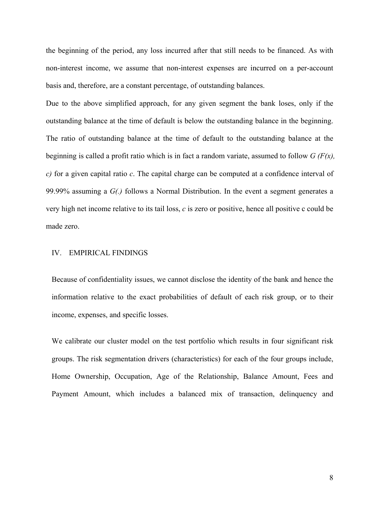the beginning of the period, any loss incurred after that still needs to be financed. As with non-interest income, we assume that non-interest expenses are incurred on a per-account basis and, therefore, are a constant percentage, of outstanding balances.

Due to the above simplified approach, for any given segment the bank loses, only if the outstanding balance at the time of default is below the outstanding balance in the beginning. The ratio of outstanding balance at the time of default to the outstanding balance at the beginning is called a profit ratio which is in fact a random variate, assumed to follow *G (F(x), c)* for a given capital ratio *c*. The capital charge can be computed at a confidence interval of 99.99% assuming a *G(.)* follows a Normal Distribution. In the event a segment generates a very high net income relative to its tail loss, *c* is zero or positive, hence all positive c could be made zero.

#### IV. EMPIRICAL FINDINGS

Because of confidentiality issues, we cannot disclose the identity of the bank and hence the information relative to the exact probabilities of default of each risk group, or to their income, expenses, and specific losses.

We calibrate our cluster model on the test portfolio which results in four significant risk groups. The risk segmentation drivers (characteristics) for each of the four groups include, Home Ownership, Occupation, Age of the Relationship, Balance Amount, Fees and Payment Amount, which includes a balanced mix of transaction, delinquency and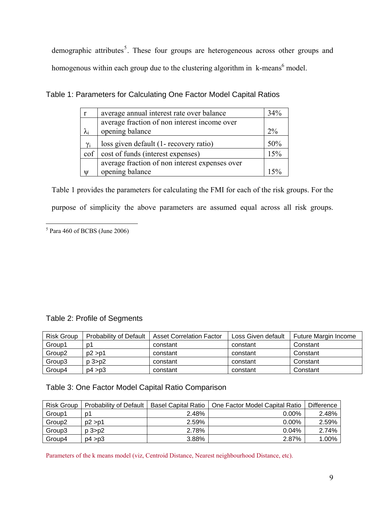demographic attributes<sup>5</sup>. These four groups are heterogeneous across other groups and homogenous within each group due to the clustering algorithm in  $k$ -means<sup>6</sup> model.

|             |                                                | 34%   |  |
|-------------|------------------------------------------------|-------|--|
| r           | average annual interest rate over balance      |       |  |
|             | average fraction of non interest income over   |       |  |
| $\lambda_i$ | opening balance                                | $2\%$ |  |
| $\gamma_i$  | loss given default (1- recovery ratio)         | 50%   |  |
| cof         | cost of funds (interest expenses)              | 15%   |  |
|             | average fraction of non interest expenses over |       |  |
| W           | opening balance                                | 150/  |  |

Table 1: Parameters for Calculating One Factor Model Capital Ratios

Table 1 provides the parameters for calculating the FMI for each of the risk groups. For the purpose of simplicity the above parameters are assumed equal across all risk groups.

 $<sup>5</sup>$  Para 460 of BCBS (June 2006)</sup>

# Table 2: Profile of Segments

| <b>Risk Group</b>  | Probability of Default | <b>Asset Correlation Factor</b> | Loss Given default | Future Margin Income |
|--------------------|------------------------|---------------------------------|--------------------|----------------------|
| Group1             | D1                     | constant                        | constant           | Constant             |
| Group <sub>2</sub> | p2 > p1                | constant                        | constant           | Constant             |
| Group3             | $p3-p2$                | constant                        | constant           | Constant             |
| Group4             | p4 > p3                | constant                        | constant           | Constant             |

# Table 3: One Factor Model Capital Ratio Comparison

| <b>Risk Group</b>  | <b>Probability of Default</b> | <b>Basel Capital Ratio</b> | One Factor Model Capital Ratio | Difference |
|--------------------|-------------------------------|----------------------------|--------------------------------|------------|
| Group1             | D1                            | 2.48%                      | $0.00\%$                       | 2.48%      |
| Group <sub>2</sub> | p2 > p1                       | 2.59%                      | $0.00\%$                       | 2.59%      |
| Group3             | $p3-p2$                       | 2.78%                      | 0.04%                          | 2.74%      |
| Group4             | p4 > p3                       | 3.88%                      | 2.87%                          | 1.00%      |

Parameters of the k means model (viz, Centroid Distance, Nearest neighbourhood Distance, etc).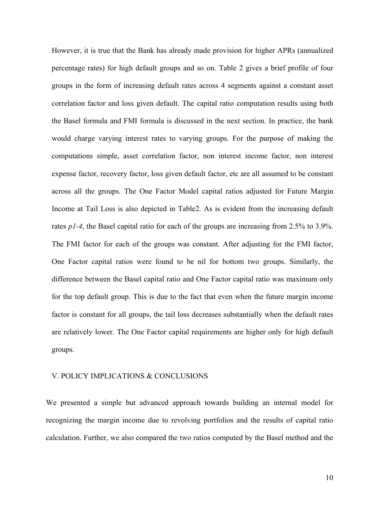However, it is true that the Bank has already made provision for higher APRs (annualized percentage rates) for high default groups and so on. Table 2 gives a brief profile of four groups in the form of increasing default rates across 4 segments against a constant asset correlation factor and loss given default. The capital ratio computation results using both the Basel formula and FMI formula is discussed in the next section. In practice, the bank would charge varying interest rates to varying groups. For the purpose of making the computations simple, asset correlation factor, non interest income factor, non interest expense factor, recovery factor, loss given default factor, etc are all assumed to be constant across all the groups. The One Factor Model capital ratios adjusted for Future Margin Income at Tail Loss is also depicted in Table2. As is evident from the increasing default rates *p1-4*, the Basel capital ratio for each of the groups are increasing from 2.5% to 3.9%. The FMI factor for each of the groups was constant. After adjusting for the FMI factor, One Factor capital ratios were found to be nil for bottom two groups. Similarly, the difference between the Basel capital ratio and One Factor capital ratio was maximum only for the top default group. This is due to the fact that even when the future margin income factor is constant for all groups, the tail loss decreases substantially when the default rates are relatively lower. The One Factor capital requirements are higher only for high default groups.

## V. POLICY IMPLICATIONS & CONCLUSIONS

We presented a simple but advanced approach towards building an internal model for recognizing the margin income due to revolving portfolios and the results of capital ratio calculation. Further, we also compared the two ratios computed by the Basel method and the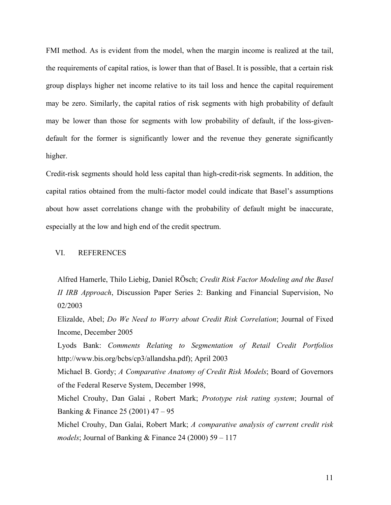FMI method. As is evident from the model, when the margin income is realized at the tail, the requirements of capital ratios, is lower than that of Basel. It is possible, that a certain risk group displays higher net income relative to its tail loss and hence the capital requirement may be zero. Similarly, the capital ratios of risk segments with high probability of default may be lower than those for segments with low probability of default, if the loss-givendefault for the former is significantly lower and the revenue they generate significantly higher.

Credit-risk segments should hold less capital than high-credit-risk segments. In addition, the capital ratios obtained from the multi-factor model could indicate that Basel's assumptions about how asset correlations change with the probability of default might be inaccurate, especially at the low and high end of the credit spectrum.

## VI. REFERENCES

Alfred Hamerle, Thilo Liebig, Daniel RÖsch; *Credit Risk Factor Modeling and the Basel II IRB Approach*, Discussion Paper Series 2: Banking and Financial Supervision, No 02/2003

Elizalde, Abel; *Do We Need to Worry about Credit Risk Correlation*; Journal of Fixed Income, December 2005

Lyods Bank: *Comments Relating to Segmentation of Retail Credit Portfolios* http://www.bis.org/bcbs/cp3/allandsha.pdf); April 2003

Michael B. Gordy; *A Comparative Anatomy of Credit Risk Models*; Board of Governors of the Federal Reserve System, December 1998,

Michel Crouhy, Dan Galai , Robert Mark; *Prototype risk rating system*; Journal of Banking & Finance 25 (2001) 47 – 95

Michel Crouhy, Dan Galai, Robert Mark; *A comparative analysis of current credit risk models*; Journal of Banking & Finance 24 (2000) 59 – 117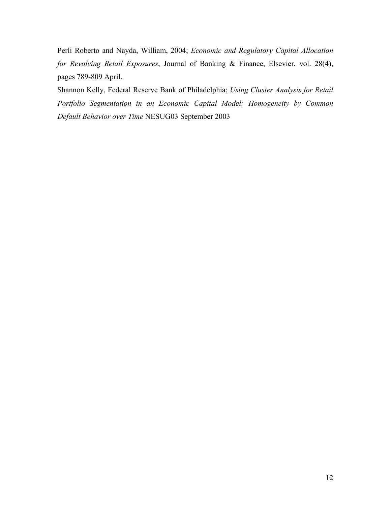Perli Roberto and Nayda, William, 2004; *Economic and Regulatory Capital Allocation for Revolving Retail Exposures*, Journal of Banking & Finance, Elsevier, vol. 28(4), pages 789-809 April.

Shannon Kelly, Federal Reserve Bank of Philadelphia; *Using Cluster Analysis for Retail Portfolio Segmentation in an Economic Capital Model: Homogeneity by Common Default Behavior over Time* NESUG03 September 2003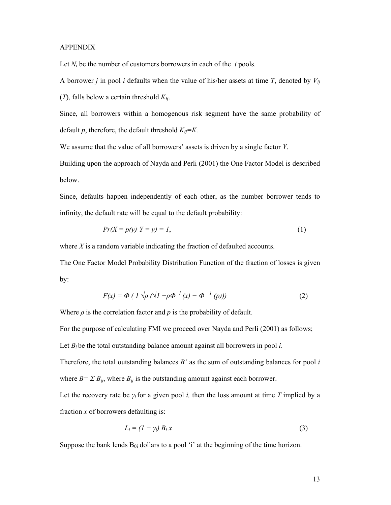#### APPENDIX

Let  $N_i$  be the number of customers borrowers in each of the  $i$  pools.

A borrower *j* in pool *i* defaults when the value of his/her assets at time *T*, denoted by  $V_{ii}$ 

(*T*), falls below a certain threshold  $K_{ij}$ .

Since, all borrowers within a homogenous risk segment have the same probability of default  $p$ , therefore, the default threshold  $K_{ij} = K$ .

We assume that the value of all borrowers' assets is driven by a single factor *Y*.

Building upon the approach of Nayda and Perli (2001) the One Factor Model is described below.

Since, defaults happen independently of each other, as the number borrower tends to infinity, the default rate will be equal to the default probability:

$$
Pr(X = p(y)|Y = y) = 1,
$$
\n<sup>(1)</sup>

where *X* is a random variable indicating the fraction of defaulted accounts.

The One Factor Model Probability Distribution Function of the fraction of losses is given by:

$$
F(x) = \Phi \left( \frac{1}{\rho} \left( \sqrt{1 - \rho} \Phi^{-1} \left( x \right) - \Phi^{-1} \left( p \right) \right) \right) \tag{2}
$$

Where  $\rho$  is the correlation factor and  $p$  is the probability of default.

For the purpose of calculating FMI we proceed over Nayda and Perli (2001) as follows;

Let  $B_i$  be the total outstanding balance amount against all borrowers in pool *i*.

Therefore, the total outstanding balances *B'* as the sum of outstanding balances for pool *i* where  $B = \sum B_{ij}$ , where  $B_{ij}$  is the outstanding amount against each borrower.

Let the recovery rate be  $\gamma_i$  for a given pool *i*, then the loss amount at time *T* implied by a fraction *x* of borrowers defaulting is:

$$
L_i = (1 - \gamma_i) B_i x \tag{3}
$$

Suppose the bank lends  $B_{0i}$  dollars to a pool 'i' at the beginning of the time horizon.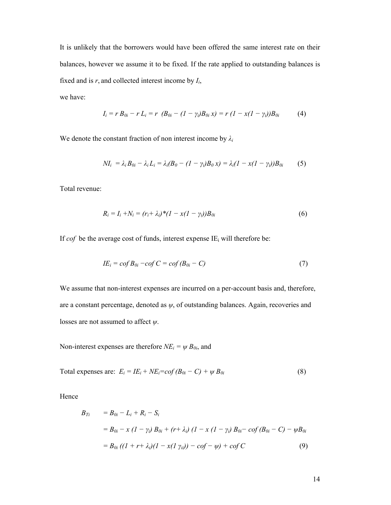It is unlikely that the borrowers would have been offered the same interest rate on their balances, however we assume it to be fixed. If the rate applied to outstanding balances is fixed and is *r*, and collected interest income by *Ii*,

we have:

$$
I_i = r B_{0i} - r L_i = r (B_{0i} - (1 - \gamma_i) B_{0i} x) = r (1 - x(1 - \gamma_i)) B_{0i}
$$
 (4)

We denote the constant fraction of non interest income by *λ<sup>i</sup>*

$$
NI_i = \lambda_i B_{0i} - \lambda_i L_i = \lambda_i (B_0 - (1 - \gamma_i) B_0 x) = \lambda_i (1 - x(1 - \gamma_i)) B_{0i}
$$
 (5)

Total revenue:

$$
R_i = I_i + N_i = (r_i + \lambda_i)^* (1 - x(1 - \gamma_i)) B_{0i}
$$
 (6)

If  $\text{cof}$  be the average cost of funds, interest expense IE<sub>i</sub> will therefore be:

$$
IE_i = cof B_{0i} - cof C = cof (B_{0i} - C) \tag{7}
$$

We assume that non-interest expenses are incurred on a per-account basis and, therefore, are a constant percentage, denoted as *ψ*, of outstanding balances. Again, recoveries and losses are not assumed to affect *ψ*.

Non-interest expenses are therefore  $NE_i = \psi B_{0i}$ , and

Total expenses are: 
$$
E_i = IE_i + NE_i = cof(B_{0i} - C) + \psi B_{0i}
$$
 (8)

Hence

$$
B_{Ti} = B_{0i} - L_i + R_i - S_i
$$
  
=  $B_{0i} - x (1 - \gamma_i) B_{0i} + (r + \lambda_i) (1 - x (1 - \gamma_i) B_{0i} - \text{cof} (B_{0i} - C) - \psi B_{0i}$   
=  $B_{0i} ((1 + r + \lambda_i) (1 - x (1 \gamma_{ii})) - \text{cof} - \psi) + \text{cof} C$  (9)